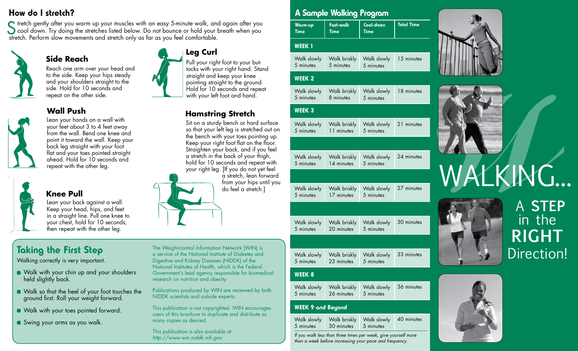## How do I stretch?

Stretch gently after you warm up your muscles with an easy 5-minute walk, and again after you<br>
cool down. Try doing the stretches listed below. Do not bounce or hold your breath when you<br>
ctratch. Berform class movements a stretch. Perform slow movements and stretch only as far as you feel comfortable.



# repeat on the other side. **Wall Push**

**Side Reach**



Lean your hands on a wall with your feet about 3 to 4 feet away from the wall. Bend one knee and point it toward the wall. Keep your back leg straight with your foot flat and your toes pointed straight ahead. Hold for 10 seconds and repeat with the other leg.

Reach one arm over your head and to the side. Keep your hips steady and your shoulders straight to the side. Hold for 10 seconds and



#### **Knee Pull**

Lean your back against a wall. Keep your head, hips, and feet in a straight line. Pull one knee to your chest, hold for 10 seconds, then repeat with the other leg.

# Taking the First Step

Walking correctly is very important.

- Walk with your chin up and your shoulders held slightly back.
- Walk so that the heel of your foot touches the ground first. Roll your weight forward.
- **Walk with your toes pointed forward.**
- Swing your arms as you walk.

The Weight-control Information Network (WIN) is a service of the National Institute of Diabetes and Digestive and Kidney Diseases (NIDDK) of the National Institutes of Health, which is the Federal Government's lead agency responsible for biomedical research on nutrition and obesity.

**Leg Curl**

Pull your right foot to your buttocks with your right hand. Stand straight and keep your knee pointing straight to the ground. Hold for 10 seconds and repeat with your left foot and hand.

**Hamstring Stretch**

Sit on a sturdy bench or hard surface so that your left leg is stretched out on the bench with your toes pointing up. Keep your right foot flat on the floor. Straighten your back, and if you feel a stretch in the back of your thigh, hold for 10 seconds and repeat with your right leg. [If you do not yet feel

> a stretch, lean forward from your hips until you do feel a stretch.]

Publications produced by WIN are reviewed by both NIDDK scientists and outside experts.

This publication is not copyrighted. WIN encourages users of this brochure to duplicate and distribute as many copies as desired.

This publication is also available at *http://www.win.niddk.nih.gov.*

### A Sample Walking Program

| Warm-up | Fast-walk   | Cool-down | <b>Total Time</b> |
|---------|-------------|-----------|-------------------|
| Time    | <b>Time</b> | Time      |                   |

#### WEEK<sub>1</sub>

| Walk slowly |           | Walk briskly   Walk slowly   15 minutes |  |
|-------------|-----------|-----------------------------------------|--|
| 5 minutes   | 5 minutes | 5 minutes                               |  |

#### WEEK 2

Walk slowly 5 minutes Walk briskly Walk slowly 8 minutes 5 minutes 18 minutes

#### WEEK 3

| Walk slowly | Walk briskly | Walk slowly | 21 minutes |
|-------------|--------------|-------------|------------|
| 5 minutes   | 11 minutes   | 5 minutes   |            |
|             |              |             |            |
| Walk slowly | Walk briskly | Walk slowly | 24 minutes |
| 5 minutes   | 14 minutes   | 5 minutes   |            |
|             |              |             |            |
| Walk slowly | Walk briskly | Walk slowly | 27 minutes |
| 5 minutes   | 17 minutes   | 5 minutes   |            |
|             |              |             |            |
| Walk slowly | Walk briskly | Walk slowly | 30 minutes |
| 5 minutes   | 20 minutes   | 5 minutes   |            |
|             |              |             |            |
| Walk slowly | Walk briskly | Walk slowly | 33 minutes |
| 5 minutes   | 23 minutes   | 5 minutes   |            |

#### WEEK 8

|           | Walk slowly   Walk briskly   Walk slowly   36 minutes |  |
|-----------|-------------------------------------------------------|--|
| 5 minutes | 26 minutes 5 minutes                                  |  |

#### WEEK 9 and Beyond

| Walk slowly | Walk briskly         | Walk slowly | $\mid$ 40 minutes |
|-------------|----------------------|-------------|-------------------|
| 5 minutes   | 30 minutes 5 minutes |             |                   |

*If you walk less than three times per week, give yourself more than a week before increasing your pace and frequency.*





# WALKING...



# A **STEP** in the **RIGHT** Direction!